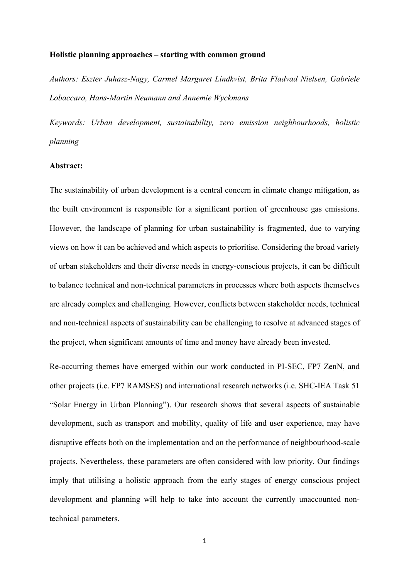#### **Holistic planning approaches – starting with common ground**

*Authors: Eszter Juhasz-Nagy, Carmel Margaret Lindkvist, Brita Fladvad Nielsen, Gabriele Lobaccaro, Hans-Martin Neumann and Annemie Wyckmans*

*Keywords: Urban development, sustainability, zero emission neighbourhoods, holistic planning*

#### **Abstract:**

The sustainability of urban development is a central concern in climate change mitigation, as the built environment is responsible for a significant portion of greenhouse gas emissions. However, the landscape of planning for urban sustainability is fragmented, due to varying views on how it can be achieved and which aspects to prioritise. Considering the broad variety of urban stakeholders and their diverse needs in energy-conscious projects, it can be difficult to balance technical and non-technical parameters in processes where both aspects themselves are already complex and challenging. However, conflicts between stakeholder needs, technical and non-technical aspects of sustainability can be challenging to resolve at advanced stages of the project, when significant amounts of time and money have already been invested.

Re-occurring themes have emerged within our work conducted in PI-SEC, FP7 ZenN, and other projects (i.e. FP7 RAMSES) and international research networks (i.e. SHC-IEA Task 51 "Solar Energy in Urban Planning"). Our research shows that several aspects of sustainable development, such as transport and mobility, quality of life and user experience, may have disruptive effects both on the implementation and on the performance of neighbourhood-scale projects. Nevertheless, these parameters are often considered with low priority. Our findings imply that utilising a holistic approach from the early stages of energy conscious project development and planning will help to take into account the currently unaccounted nontechnical parameters.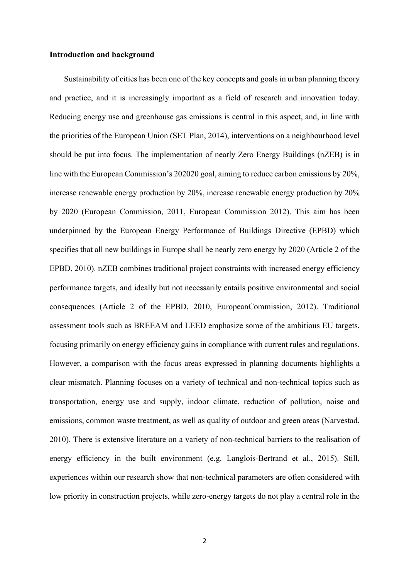### **Introduction and background**

Sustainability of cities has been one of the key concepts and goals in urban planning theory and practice, and it is increasingly important as a field of research and innovation today. Reducing energy use and greenhouse gas emissions is central in this aspect, and, in line with the priorities of the European Union (SET Plan, 2014), interventions on a neighbourhood level should be put into focus. The implementation of nearly Zero Energy Buildings (nZEB) is in line with the European Commission's 202020 goal, aiming to reduce carbon emissions by 20%, increase renewable energy production by 20%, increase renewable energy production by 20% by 2020 (European Commission, 2011, European Commission 2012). This aim has been underpinned by the European Energy Performance of Buildings Directive (EPBD) which specifies that all new buildings in Europe shall be nearly zero energy by 2020 (Article 2 of the EPBD, 2010). nZEB combines traditional project constraints with increased energy efficiency performance targets, and ideally but not necessarily entails positive environmental and social consequences (Article 2 of the EPBD, 2010, EuropeanCommission, 2012). Traditional assessment tools such as BREEAM and LEED emphasize some of the ambitious EU targets, focusing primarily on energy efficiency gains in compliance with current rules and regulations. However, a comparison with the focus areas expressed in planning documents highlights a clear mismatch. Planning focuses on a variety of technical and non-technical topics such as transportation, energy use and supply, indoor climate, reduction of pollution, noise and emissions, common waste treatment, as well as quality of outdoor and green areas (Narvestad, 2010). There is extensive literature on a variety of non-technical barriers to the realisation of energy efficiency in the built environment (e.g. Langlois-Bertrand et al., 2015). Still, experiences within our research show that non-technical parameters are often considered with low priority in construction projects, while zero-energy targets do not play a central role in the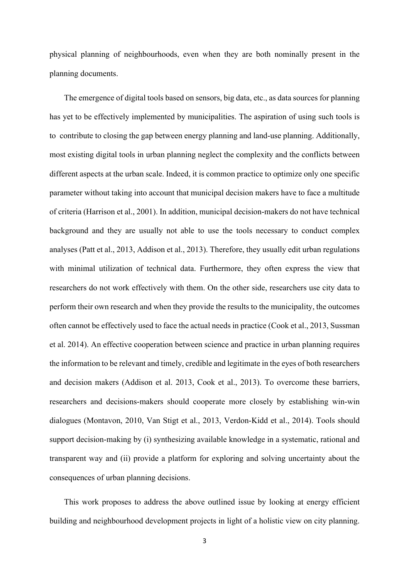physical planning of neighbourhoods, even when they are both nominally present in the planning documents.

The emergence of digital tools based on sensors, big data, etc., as data sources for planning has yet to be effectively implemented by municipalities. The aspiration of using such tools is to contribute to closing the gap between energy planning and land-use planning. Additionally, most existing digital tools in urban planning neglect the complexity and the conflicts between different aspects at the urban scale. Indeed, it is common practice to optimize only one specific parameter without taking into account that municipal decision makers have to face a multitude of criteria (Harrison et al., 2001). In addition, municipal decision-makers do not have technical background and they are usually not able to use the tools necessary to conduct complex analyses (Patt et al., 2013, Addison et al., 2013). Therefore, they usually edit urban regulations with minimal utilization of technical data. Furthermore, they often express the view that researchers do not work effectively with them. On the other side, researchers use city data to perform their own research and when they provide the results to the municipality, the outcomes often cannot be effectively used to face the actual needs in practice (Cook et al., 2013, Sussman et al. 2014). An effective cooperation between science and practice in urban planning requires the information to be relevant and timely, credible and legitimate in the eyes of both researchers and decision makers (Addison et al. 2013, Cook et al., 2013). To overcome these barriers, researchers and decisions-makers should cooperate more closely by establishing win-win dialogues (Montavon, 2010, Van Stigt et al., 2013, Verdon-Kidd et al., 2014). Tools should support decision-making by (i) synthesizing available knowledge in a systematic, rational and transparent way and (ii) provide a platform for exploring and solving uncertainty about the consequences of urban planning decisions.

This work proposes to address the above outlined issue by looking at energy efficient building and neighbourhood development projects in light of a holistic view on city planning.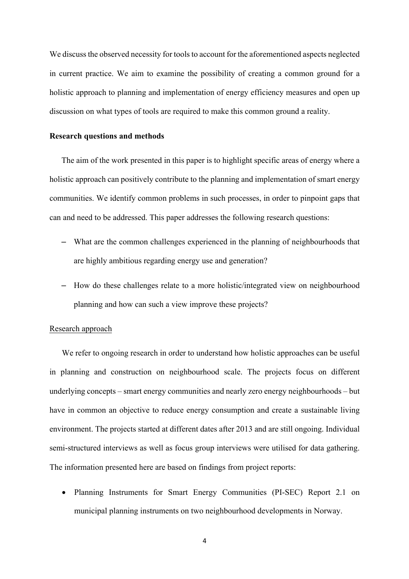We discuss the observed necessity for tools to account for the aforementioned aspects neglected in current practice. We aim to examine the possibility of creating a common ground for a holistic approach to planning and implementation of energy efficiency measures and open up discussion on what types of tools are required to make this common ground a reality.

### **Research questions and methods**

The aim of the work presented in this paper is to highlight specific areas of energy where a holistic approach can positively contribute to the planning and implementation of smart energy communities. We identify common problems in such processes, in order to pinpoint gaps that can and need to be addressed. This paper addresses the following research questions:

- What are the common challenges experienced in the planning of neighbourhoods that are highly ambitious regarding energy use and generation?
- How do these challenges relate to a more holistic/integrated view on neighbourhood planning and how can such a view improve these projects?

# Research approach

We refer to ongoing research in order to understand how holistic approaches can be useful in planning and construction on neighbourhood scale. The projects focus on different underlying concepts – smart energy communities and nearly zero energy neighbourhoods – but have in common an objective to reduce energy consumption and create a sustainable living environment. The projects started at different dates after 2013 and are still ongoing. Individual semi-structured interviews as well as focus group interviews were utilised for data gathering. The information presented here are based on findings from project reports:

• Planning Instruments for Smart Energy Communities (PI-SEC) Report 2.1 on municipal planning instruments on two neighbourhood developments in Norway.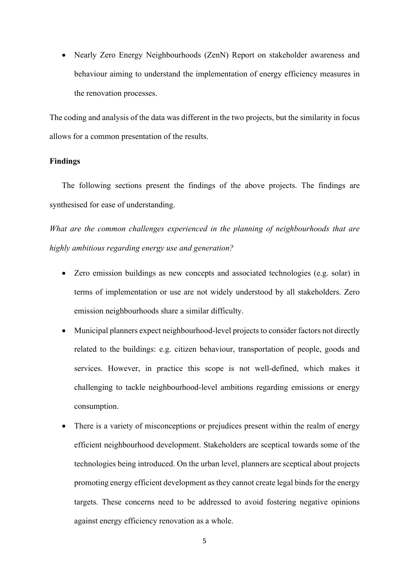• Nearly Zero Energy Neighbourhoods (ZenN) Report on stakeholder awareness and behaviour aiming to understand the implementation of energy efficiency measures in the renovation processes.

The coding and analysis of the data was different in the two projects, but the similarity in focus allows for a common presentation of the results.

## **Findings**

The following sections present the findings of the above projects. The findings are synthesised for ease of understanding.

*What are the common challenges experienced in the planning of neighbourhoods that are highly ambitious regarding energy use and generation?* 

- Zero emission buildings as new concepts and associated technologies (e.g. solar) in terms of implementation or use are not widely understood by all stakeholders. Zero emission neighbourhoods share a similar difficulty.
- Municipal planners expect neighbourhood-level projects to consider factors not directly related to the buildings: e.g. citizen behaviour, transportation of people, goods and services. However, in practice this scope is not well-defined, which makes it challenging to tackle neighbourhood-level ambitions regarding emissions or energy consumption.
- There is a variety of misconceptions or prejudices present within the realm of energy efficient neighbourhood development. Stakeholders are sceptical towards some of the technologies being introduced. On the urban level, planners are sceptical about projects promoting energy efficient development as they cannot create legal binds for the energy targets. These concerns need to be addressed to avoid fostering negative opinions against energy efficiency renovation as a whole.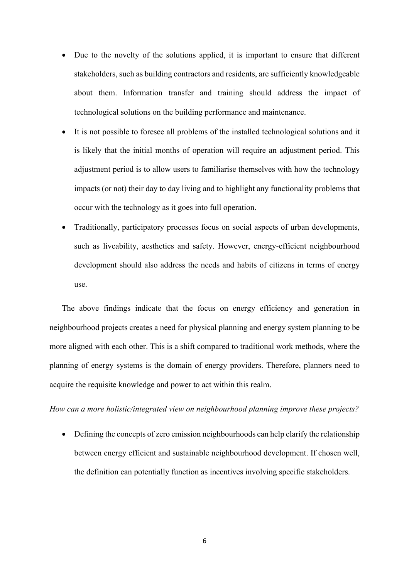- Due to the novelty of the solutions applied, it is important to ensure that different stakeholders, such as building contractors and residents, are sufficiently knowledgeable about them. Information transfer and training should address the impact of technological solutions on the building performance and maintenance.
- It is not possible to foresee all problems of the installed technological solutions and it is likely that the initial months of operation will require an adjustment period. This adjustment period is to allow users to familiarise themselves with how the technology impacts (or not) their day to day living and to highlight any functionality problems that occur with the technology as it goes into full operation.
- Traditionally, participatory processes focus on social aspects of urban developments, such as liveability, aesthetics and safety. However, energy-efficient neighbourhood development should also address the needs and habits of citizens in terms of energy use.

The above findings indicate that the focus on energy efficiency and generation in neighbourhood projects creates a need for physical planning and energy system planning to be more aligned with each other. This is a shift compared to traditional work methods, where the planning of energy systems is the domain of energy providers. Therefore, planners need to acquire the requisite knowledge and power to act within this realm.

*How can a more holistic/integrated view on neighbourhood planning improve these projects?* 

• Defining the concepts of zero emission neighbourhoods can help clarify the relationship between energy efficient and sustainable neighbourhood development. If chosen well, the definition can potentially function as incentives involving specific stakeholders.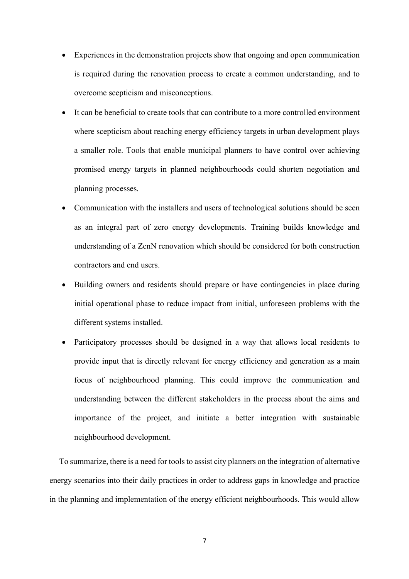- Experiences in the demonstration projects show that ongoing and open communication is required during the renovation process to create a common understanding, and to overcome scepticism and misconceptions.
- It can be beneficial to create tools that can contribute to a more controlled environment where scepticism about reaching energy efficiency targets in urban development plays a smaller role. Tools that enable municipal planners to have control over achieving promised energy targets in planned neighbourhoods could shorten negotiation and planning processes.
- Communication with the installers and users of technological solutions should be seen as an integral part of zero energy developments. Training builds knowledge and understanding of a ZenN renovation which should be considered for both construction contractors and end users.
- Building owners and residents should prepare or have contingencies in place during initial operational phase to reduce impact from initial, unforeseen problems with the different systems installed.
- Participatory processes should be designed in a way that allows local residents to provide input that is directly relevant for energy efficiency and generation as a main focus of neighbourhood planning. This could improve the communication and understanding between the different stakeholders in the process about the aims and importance of the project, and initiate a better integration with sustainable neighbourhood development.

To summarize, there is a need for tools to assist city planners on the integration of alternative energy scenarios into their daily practices in order to address gaps in knowledge and practice in the planning and implementation of the energy efficient neighbourhoods. This would allow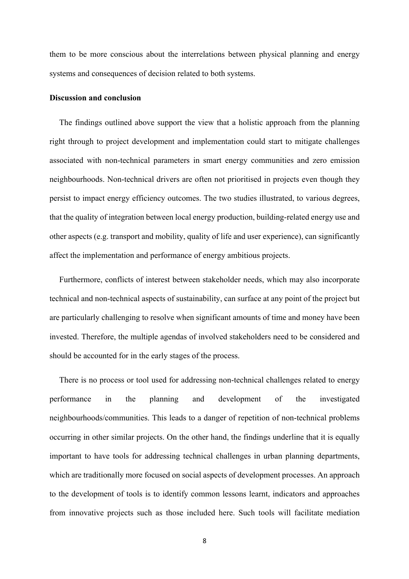them to be more conscious about the interrelations between physical planning and energy systems and consequences of decision related to both systems.

## **Discussion and conclusion**

The findings outlined above support the view that a holistic approach from the planning right through to project development and implementation could start to mitigate challenges associated with non-technical parameters in smart energy communities and zero emission neighbourhoods. Non-technical drivers are often not prioritised in projects even though they persist to impact energy efficiency outcomes. The two studies illustrated, to various degrees, that the quality of integration between local energy production, building-related energy use and other aspects (e.g. transport and mobility, quality of life and user experience), can significantly affect the implementation and performance of energy ambitious projects.

Furthermore, conflicts of interest between stakeholder needs, which may also incorporate technical and non-technical aspects of sustainability, can surface at any point of the project but are particularly challenging to resolve when significant amounts of time and money have been invested. Therefore, the multiple agendas of involved stakeholders need to be considered and should be accounted for in the early stages of the process.

There is no process or tool used for addressing non-technical challenges related to energy performance in the planning and development of the investigated neighbourhoods/communities. This leads to a danger of repetition of non-technical problems occurring in other similar projects. On the other hand, the findings underline that it is equally important to have tools for addressing technical challenges in urban planning departments, which are traditionally more focused on social aspects of development processes. An approach to the development of tools is to identify common lessons learnt, indicators and approaches from innovative projects such as those included here. Such tools will facilitate mediation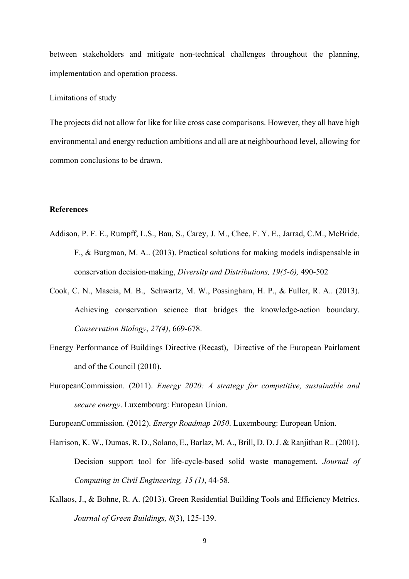between stakeholders and mitigate non-technical challenges throughout the planning, implementation and operation process.

### Limitations of study

The projects did not allow for like for like cross case comparisons. However, they all have high environmental and energy reduction ambitions and all are at neighbourhood level, allowing for common conclusions to be drawn.

# **References**

- Addison, P. F. E., Rumpff, L.S., Bau, S., Carey, J. M., Chee, F. Y. E., Jarrad, C.M., McBride, F., & Burgman, M. A.. (2013). Practical solutions for making models indispensable in conservation decision-making, *Diversity and Distributions, 19(5-6),* 490-502
- Cook, C. N., Mascia, M. B., Schwartz, M. W., Possingham, H. P., & Fuller, R. A.. (2013). Achieving conservation science that bridges the knowledge-action boundary. *Conservation Biology*, *27(4)*, 669-678.
- Energy Performance of Buildings Directive (Recast), Directive of the European Pairlament and of the Council (2010).
- EuropeanCommission. (2011). *Energy 2020: A strategy for competitive, sustainable and secure energy*. Luxembourg: European Union.

EuropeanCommission. (2012). *Energy Roadmap 2050*. Luxembourg: European Union.

- Harrison, K. W., Dumas, R. D., Solano, E., Barlaz, M. A., Brill, D. D. J. & Ranjithan R.. (2001). Decision support tool for life-cycle-based solid waste management. *Journal of Computing in Civil Engineering, 15 (1)*, 44-58.
- Kallaos, J., & Bohne, R. A. (2013). Green Residential Building Tools and Efficiency Metrics. *Journal of Green Buildings, 8*(3), 125-139.